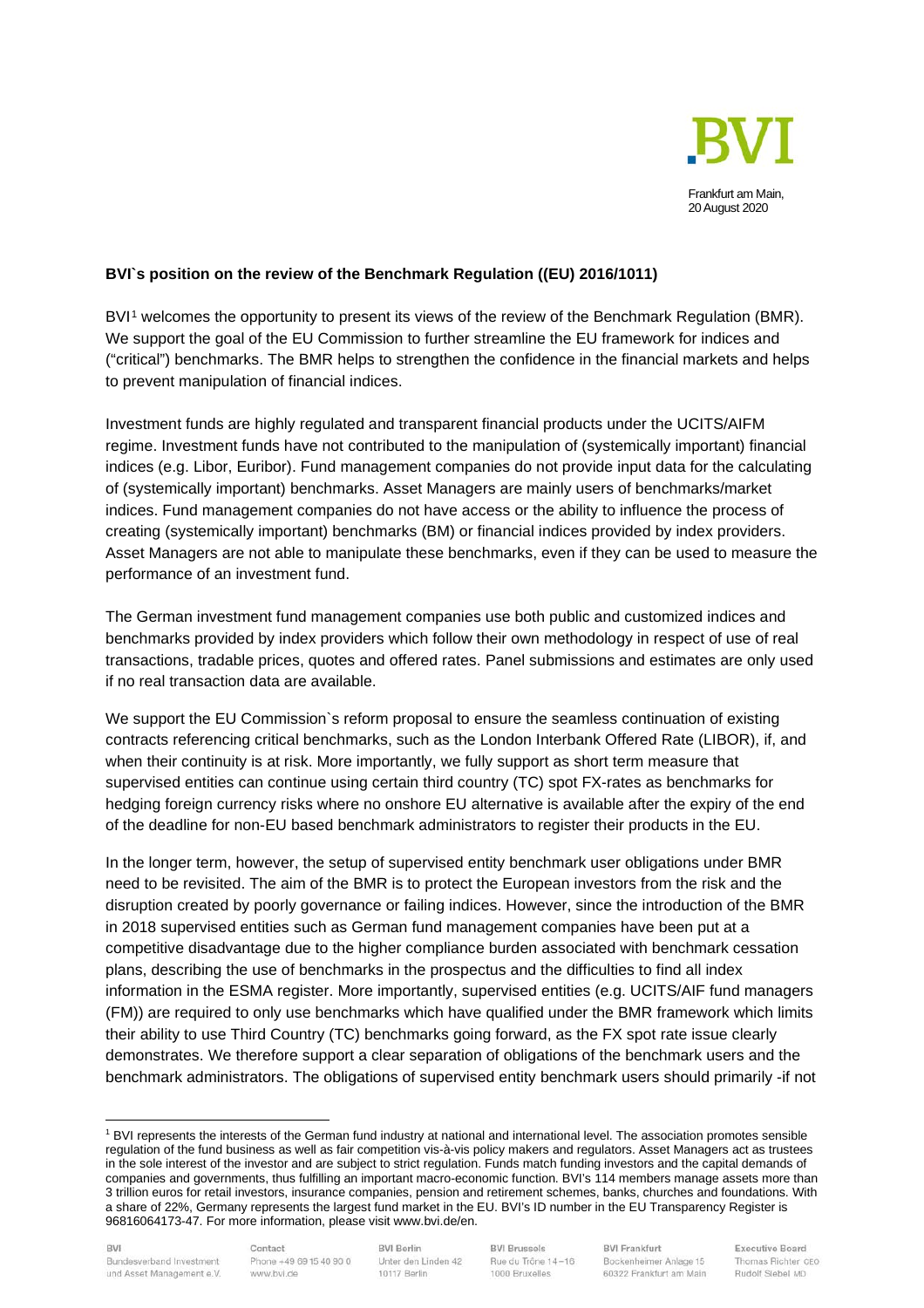

## **BVI`s position on the review of the Benchmark Regulation ((EU) 2016/1011)**

BVI<sup>[1](#page-0-0)</sup> welcomes the opportunity to present its views of the review of the Benchmark Regulation (BMR). We support the goal of the EU Commission to further streamline the EU framework for indices and ("critical") benchmarks. The BMR helps to strengthen the confidence in the financial markets and helps to prevent manipulation of financial indices.

Investment funds are highly regulated and transparent financial products under the UCITS/AIFM regime. Investment funds have not contributed to the manipulation of (systemically important) financial indices (e.g. Libor, Euribor). Fund management companies do not provide input data for the calculating of (systemically important) benchmarks. Asset Managers are mainly users of benchmarks/market indices. Fund management companies do not have access or the ability to influence the process of creating (systemically important) benchmarks (BM) or financial indices provided by index providers. Asset Managers are not able to manipulate these benchmarks, even if they can be used to measure the performance of an investment fund.

The German investment fund management companies use both public and customized indices and benchmarks provided by index providers which follow their own methodology in respect of use of real transactions, tradable prices, quotes and offered rates. Panel submissions and estimates are only used if no real transaction data are available.

We support the EU Commission`s reform proposal to ensure the seamless continuation of existing contracts referencing critical benchmarks, such as the London Interbank Offered Rate (LIBOR), if, and when their continuity is at risk. More importantly, we fully support as short term measure that supervised entities can continue using certain third country (TC) spot FX-rates as benchmarks for hedging foreign currency risks where no onshore EU alternative is available after the expiry of the end of the deadline for non-EU based benchmark administrators to register their products in the EU.

In the longer term, however, the setup of supervised entity benchmark user obligations under BMR need to be revisited. The aim of the BMR is to protect the European investors from the risk and the disruption created by poorly governance or failing indices. However, since the introduction of the BMR in 2018 supervised entities such as German fund management companies have been put at a competitive disadvantage due to the higher compliance burden associated with benchmark cessation plans, describing the use of benchmarks in the prospectus and the difficulties to find all index information in the ESMA register. More importantly, supervised entities (e.g. UCITS/AIF fund managers (FM)) are required to only use benchmarks which have qualified under the BMR framework which limits their ability to use Third Country (TC) benchmarks going forward, as the FX spot rate issue clearly demonstrates. We therefore support a clear separation of obligations of the benchmark users and the benchmark administrators. The obligations of supervised entity benchmark users should primarily -if not

Contact Phone +49 69 15 40 90 0 www.bvi.de

**BVI Berlin** Unter den Linden 42 10117 Berlin

**BVI Brussels** Rue du Trône 14-16 1000 Bruxelles

**BVI Frankfurt** Bockenheimer Anlage 15 60322 Frankfurt am Main

<span id="page-0-0"></span><sup>1</sup> BVI represents the interests of the German fund industry at national and international level. The association promotes sensible regulation of the fund business as well as fair competition vis-à-vis policy makers and regulators. Asset Managers act as trustees in the sole interest of the investor and are subject to strict regulation. Funds match funding investors and the capital demands of companies and governments, thus fulfilling an important macro-economic function. BVI's 114 members manage assets more than 3 trillion euros for retail investors, insurance companies, pension and retirement schemes, banks, churches and foundations. With a share of 22%, Germany represents the largest fund market in the EU. BVI's ID number in the EU Transparency Register is 96816064173-47. For more information, please visit www.bvi.de/en.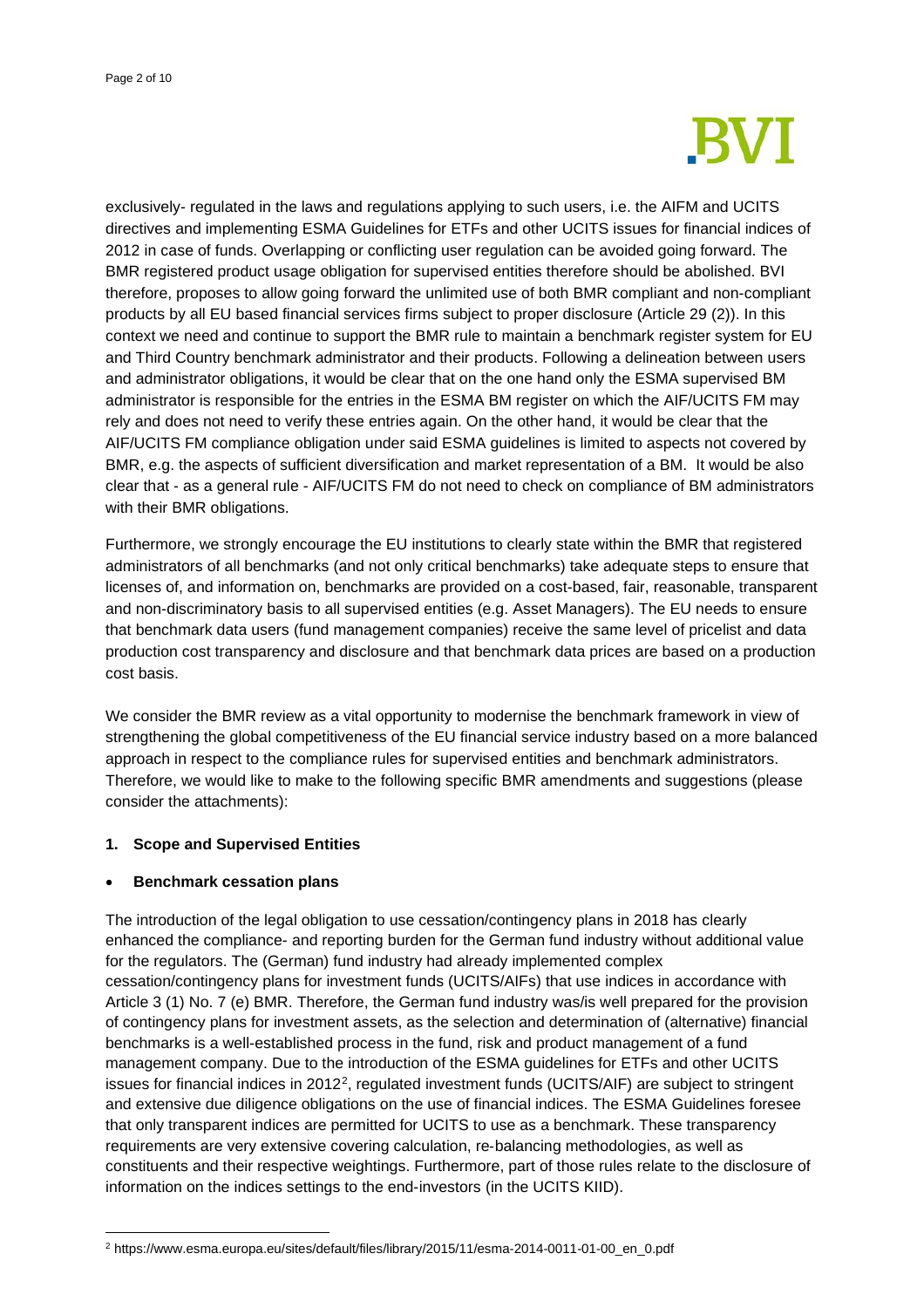

exclusively- regulated in the laws and regulations applying to such users, i.e. the AIFM and UCITS directives and implementing ESMA Guidelines for ETFs and other UCITS issues for financial indices of 2012 in case of funds. Overlapping or conflicting user regulation can be avoided going forward. The BMR registered product usage obligation for supervised entities therefore should be abolished. BVI therefore, proposes to allow going forward the unlimited use of both BMR compliant and non-compliant products by all EU based financial services firms subject to proper disclosure (Article 29 (2)). In this context we need and continue to support the BMR rule to maintain a benchmark register system for EU and Third Country benchmark administrator and their products. Following a delineation between users and administrator obligations, it would be clear that on the one hand only the ESMA supervised BM administrator is responsible for the entries in the ESMA BM register on which the AIF/UCITS FM may rely and does not need to verify these entries again. On the other hand, it would be clear that the AIF/UCITS FM compliance obligation under said ESMA guidelines is limited to aspects not covered by BMR, e.g. the aspects of sufficient diversification and market representation of a BM. It would be also clear that - as a general rule - AIF/UCITS FM do not need to check on compliance of BM administrators with their BMR obligations.

Furthermore, we strongly encourage the EU institutions to clearly state within the BMR that registered administrators of all benchmarks (and not only critical benchmarks) take adequate steps to ensure that licenses of, and information on, benchmarks are provided on a cost-based, fair, reasonable, transparent and non-discriminatory basis to all supervised entities (e.g. Asset Managers). The EU needs to ensure that benchmark data users (fund management companies) receive the same level of pricelist and data production cost transparency and disclosure and that benchmark data prices are based on a production cost basis.

We consider the BMR review as a vital opportunity to modernise the benchmark framework in view of strengthening the global competitiveness of the EU financial service industry based on a more balanced approach in respect to the compliance rules for supervised entities and benchmark administrators. Therefore, we would like to make to the following specific BMR amendments and suggestions (please consider the attachments):

### **1. Scope and Supervised Entities**

### • **Benchmark cessation plans**

The introduction of the legal obligation to use cessation/contingency plans in 2018 has clearly enhanced the compliance- and reporting burden for the German fund industry without additional value for the regulators. The (German) fund industry had already implemented complex cessation/contingency plans for investment funds (UCITS/AIFs) that use indices in accordance with Article 3 (1) No. 7 (e) BMR. Therefore, the German fund industry was/is well prepared for the provision of contingency plans for investment assets, as the selection and determination of (alternative) financial benchmarks is a well-established process in the fund, risk and product management of a fund management company. Due to the introduction of the ESMA guidelines for ETFs and other UCITS issues for financial indices in 2012[2,](#page-1-0) regulated investment funds (UCITS/AIF) are subject to stringent and extensive due diligence obligations on the use of financial indices. The ESMA Guidelines foresee that only transparent indices are permitted for UCITS to use as a benchmark. These transparency requirements are very extensive covering calculation, re-balancing methodologies, as well as constituents and their respective weightings. Furthermore, part of those rules relate to the disclosure of information on the indices settings to the end-investors (in the UCITS KIID).

<span id="page-1-0"></span><sup>2</sup> https://www.esma.europa.eu/sites/default/files/library/2015/11/esma-2014-0011-01-00\_en\_0.pdf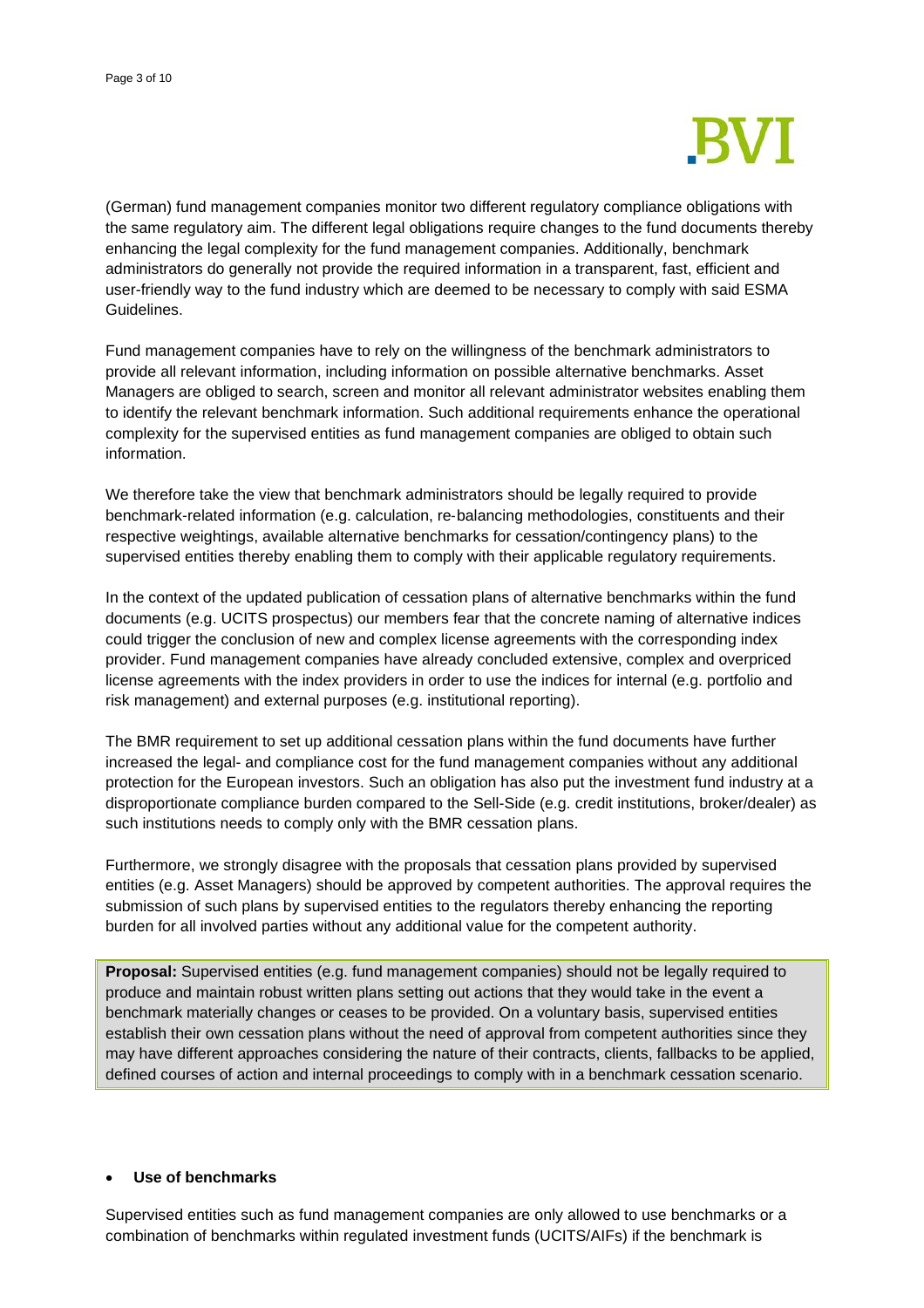

(German) fund management companies monitor two different regulatory compliance obligations with the same regulatory aim. The different legal obligations require changes to the fund documents thereby enhancing the legal complexity for the fund management companies. Additionally, benchmark administrators do generally not provide the required information in a transparent, fast, efficient and user-friendly way to the fund industry which are deemed to be necessary to comply with said ESMA Guidelines.

Fund management companies have to rely on the willingness of the benchmark administrators to provide all relevant information, including information on possible alternative benchmarks. Asset Managers are obliged to search, screen and monitor all relevant administrator websites enabling them to identify the relevant benchmark information. Such additional requirements enhance the operational complexity for the supervised entities as fund management companies are obliged to obtain such information.

We therefore take the view that benchmark administrators should be legally required to provide benchmark-related information (e.g. calculation, re‐balancing methodologies, constituents and their respective weightings, available alternative benchmarks for cessation/contingency plans) to the supervised entities thereby enabling them to comply with their applicable regulatory requirements.

In the context of the updated publication of cessation plans of alternative benchmarks within the fund documents (e.g. UCITS prospectus) our members fear that the concrete naming of alternative indices could trigger the conclusion of new and complex license agreements with the corresponding index provider. Fund management companies have already concluded extensive, complex and overpriced license agreements with the index providers in order to use the indices for internal (e.g. portfolio and risk management) and external purposes (e.g. institutional reporting).

The BMR requirement to set up additional cessation plans within the fund documents have further increased the legal- and compliance cost for the fund management companies without any additional protection for the European investors. Such an obligation has also put the investment fund industry at a disproportionate compliance burden compared to the Sell-Side (e.g. credit institutions, broker/dealer) as such institutions needs to comply only with the BMR cessation plans.

Furthermore, we strongly disagree with the proposals that cessation plans provided by supervised entities (e.g. Asset Managers) should be approved by competent authorities. The approval requires the submission of such plans by supervised entities to the regulators thereby enhancing the reporting burden for all involved parties without any additional value for the competent authority.

**Proposal:** Supervised entities (e.g. fund management companies) should not be legally required to produce and maintain robust written plans setting out actions that they would take in the event a benchmark materially changes or ceases to be provided. On a voluntary basis, supervised entities establish their own cessation plans without the need of approval from competent authorities since they may have different approaches considering the nature of their contracts, clients, fallbacks to be applied, defined courses of action and internal proceedings to comply with in a benchmark cessation scenario.

### • **Use of benchmarks**

Supervised entities such as fund management companies are only allowed to use benchmarks or a combination of benchmarks within regulated investment funds (UCITS/AIFs) if the benchmark is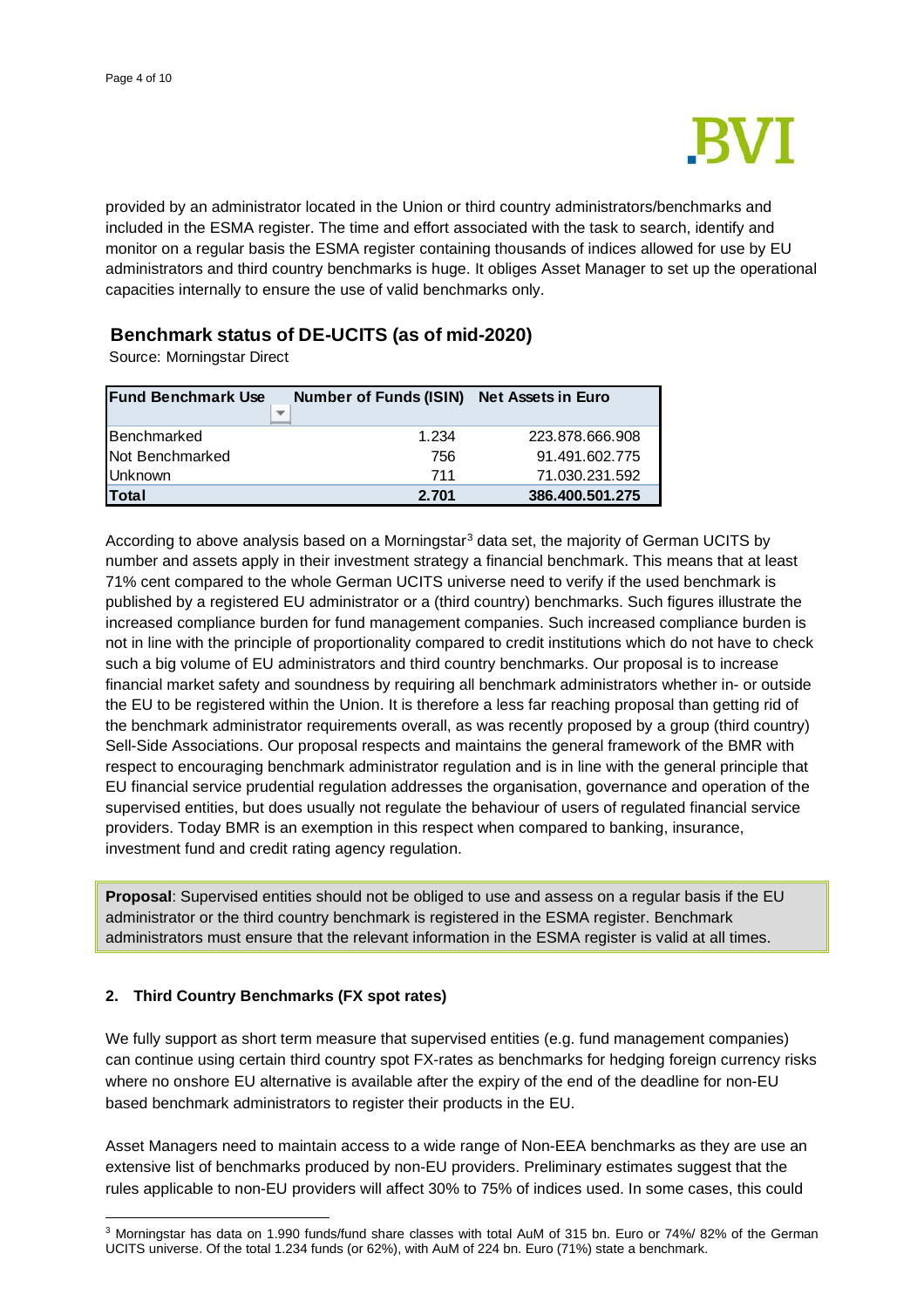

provided by an administrator located in the Union or third country administrators/benchmarks and included in the ESMA register. The time and effort associated with the task to search, identify and monitor on a regular basis the ESMA register containing thousands of indices allowed for use by EU administrators and third country benchmarks is huge. It obliges Asset Manager to set up the operational capacities internally to ensure the use of valid benchmarks only.

# **Benchmark status of DE-UCITS (as of mid-2020)**

Source: Morningstar Direct

| <b>Fund Benchmark Use</b> | <b>Number of Funds (ISIN)</b> | <b>Net Assets in Euro</b> |
|---------------------------|-------------------------------|---------------------------|
|                           |                               |                           |
| Benchmarked               | 1.234                         | 223.878.666.908           |
| Not Benchmarked           | 756                           | 91.491.602.775            |
| <b>Unknown</b>            | 711                           | 71.030.231.592            |
| <b>Total</b>              | 2.701                         | 386.400.501.275           |

According to above analysis based on a Morningstar<sup>[3](#page-3-0)</sup> data set, the majority of German UCITS by number and assets apply in their investment strategy a financial benchmark. This means that at least 71% cent compared to the whole German UCITS universe need to verify if the used benchmark is published by a registered EU administrator or a (third country) benchmarks. Such figures illustrate the increased compliance burden for fund management companies. Such increased compliance burden is not in line with the principle of proportionality compared to credit institutions which do not have to check such a big volume of EU administrators and third country benchmarks. Our proposal is to increase financial market safety and soundness by requiring all benchmark administrators whether in- or outside the EU to be registered within the Union. It is therefore a less far reaching proposal than getting rid of the benchmark administrator requirements overall, as was recently proposed by a group (third country) Sell-Side Associations. Our proposal respects and maintains the general framework of the BMR with respect to encouraging benchmark administrator regulation and is in line with the general principle that EU financial service prudential regulation addresses the organisation, governance and operation of the supervised entities, but does usually not regulate the behaviour of users of regulated financial service providers. Today BMR is an exemption in this respect when compared to banking, insurance, investment fund and credit rating agency regulation.

**Proposal**: Supervised entities should not be obliged to use and assess on a regular basis if the EU administrator or the third country benchmark is registered in the ESMA register. Benchmark administrators must ensure that the relevant information in the ESMA register is valid at all times.

### **2. Third Country Benchmarks (FX spot rates)**

We fully support as short term measure that supervised entities (e.g. fund management companies) can continue using certain third country spot FX-rates as benchmarks for hedging foreign currency risks where no onshore EU alternative is available after the expiry of the end of the deadline for non-EU based benchmark administrators to register their products in the EU.

Asset Managers need to maintain access to a wide range of Non-EEA benchmarks as they are use an extensive list of benchmarks produced by non-EU providers. Preliminary estimates suggest that the rules applicable to non-EU providers will affect 30% to 75% of indices used. In some cases, this could

<span id="page-3-0"></span><sup>3</sup> Morningstar has data on 1.990 funds/fund share classes with total AuM of 315 bn. Euro or 74%/ 82% of the German UCITS universe. Of the total 1.234 funds (or 62%), with AuM of 224 bn. Euro (71%) state a benchmark.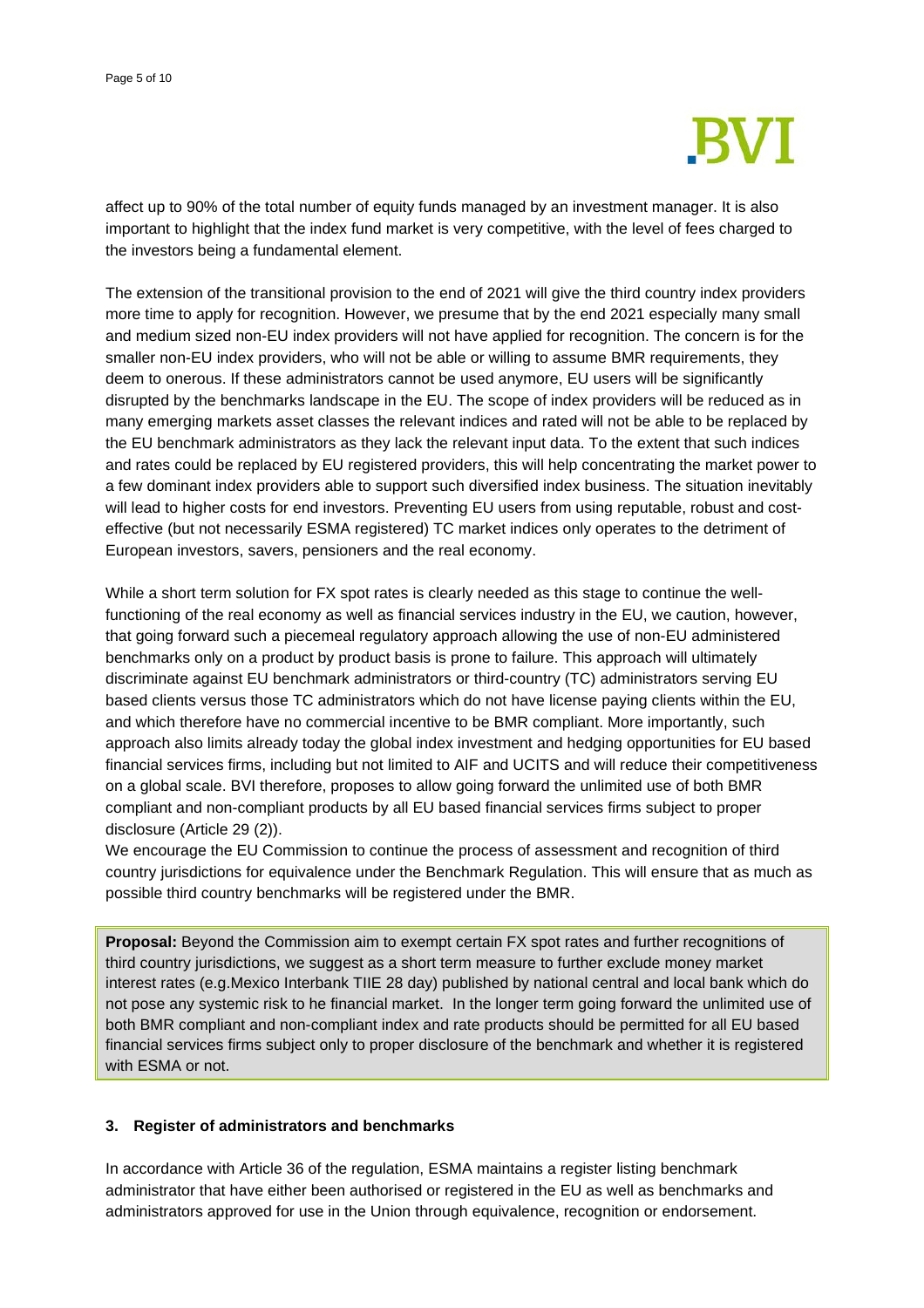

affect up to 90% of the total number of equity funds managed by an investment manager. It is also important to highlight that the index fund market is very competitive, with the level of fees charged to the investors being a fundamental element.

The extension of the transitional provision to the end of 2021 will give the third country index providers more time to apply for recognition. However, we presume that by the end 2021 especially many small and medium sized non-EU index providers will not have applied for recognition. The concern is for the smaller non-EU index providers, who will not be able or willing to assume BMR requirements, they deem to onerous. If these administrators cannot be used anymore, EU users will be significantly disrupted by the benchmarks landscape in the EU. The scope of index providers will be reduced as in many emerging markets asset classes the relevant indices and rated will not be able to be replaced by the EU benchmark administrators as they lack the relevant input data. To the extent that such indices and rates could be replaced by EU registered providers, this will help concentrating the market power to a few dominant index providers able to support such diversified index business. The situation inevitably will lead to higher costs for end investors. Preventing EU users from using reputable, robust and costeffective (but not necessarily ESMA registered) TC market indices only operates to the detriment of European investors, savers, pensioners and the real economy.

While a short term solution for FX spot rates is clearly needed as this stage to continue the wellfunctioning of the real economy as well as financial services industry in the EU, we caution, however, that going forward such a piecemeal regulatory approach allowing the use of non-EU administered benchmarks only on a product by product basis is prone to failure. This approach will ultimately discriminate against EU benchmark administrators or third-country (TC) administrators serving EU based clients versus those TC administrators which do not have license paying clients within the EU, and which therefore have no commercial incentive to be BMR compliant. More importantly, such approach also limits already today the global index investment and hedging opportunities for EU based financial services firms, including but not limited to AIF and UCITS and will reduce their competitiveness on a global scale. BVI therefore, proposes to allow going forward the unlimited use of both BMR compliant and non-compliant products by all EU based financial services firms subject to proper disclosure (Article 29 (2)).

We encourage the EU Commission to continue the process of assessment and recognition of third country jurisdictions for equivalence under the Benchmark Regulation. This will ensure that as much as possible third country benchmarks will be registered under the BMR.

**Proposal:** Beyond the Commission aim to exempt certain FX spot rates and further recognitions of third country jurisdictions, we suggest as a short term measure to further exclude money market interest rates (e.g.Mexico Interbank TIIE 28 day) published by national central and local bank which do not pose any systemic risk to he financial market. In the longer term going forward the unlimited use of both BMR compliant and non-compliant index and rate products should be permitted for all EU based financial services firms subject only to proper disclosure of the benchmark and whether it is registered with ESMA or not.

### **3. Register of administrators and benchmarks**

In accordance with Article 36 of the regulation, ESMA maintains a register listing benchmark administrator that have either been authorised or registered in the EU as well as benchmarks and administrators approved for use in the Union through equivalence, recognition or endorsement.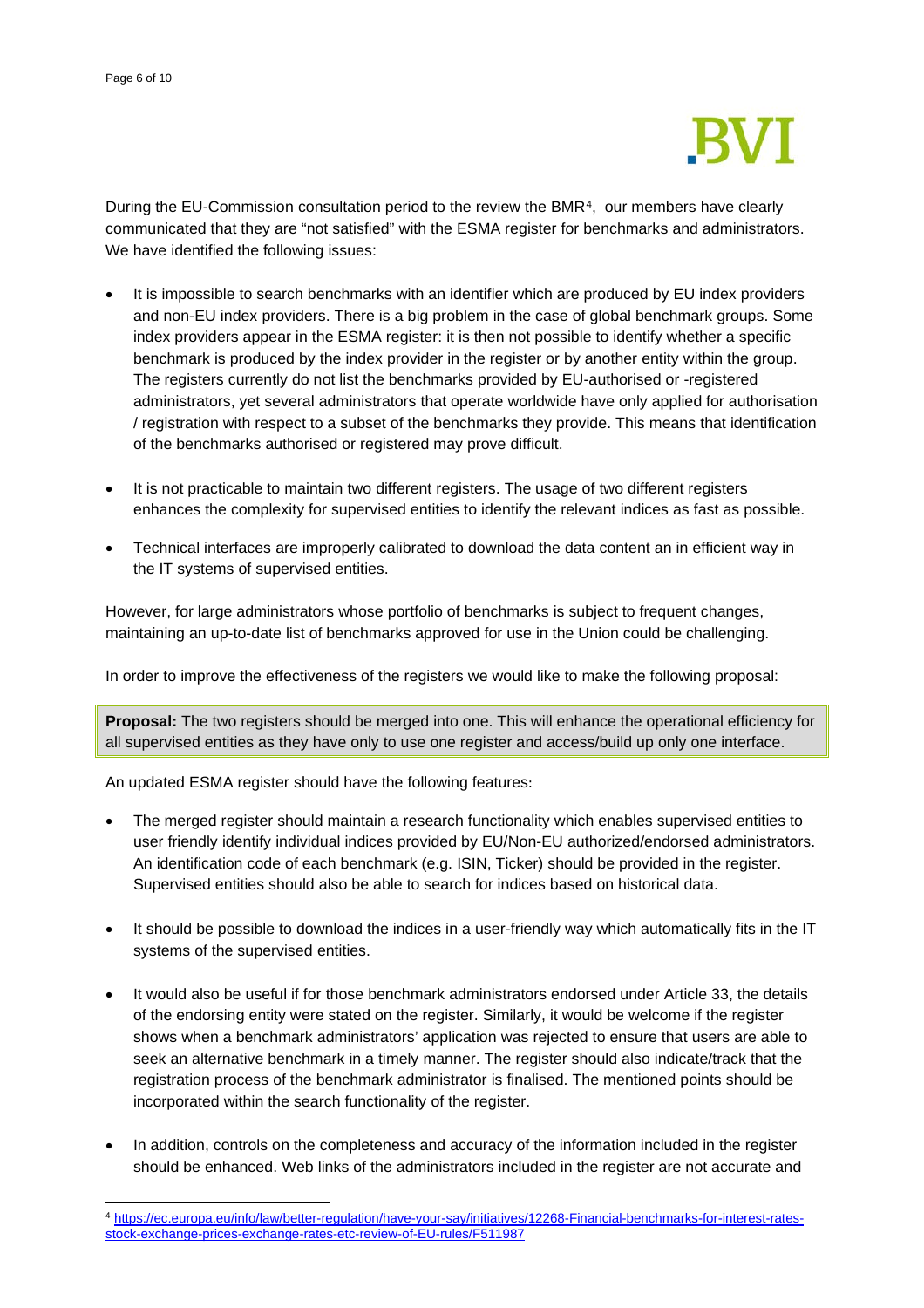

During the EU-Commission consultation period to the review the BMR[4](#page-5-0), our members have clearly communicated that they are "not satisfied" with the ESMA register for benchmarks and administrators. We have identified the following issues:

- It is impossible to search benchmarks with an identifier which are produced by EU index providers and non-EU index providers. There is a big problem in the case of global benchmark groups. Some index providers appear in the ESMA register: it is then not possible to identify whether a specific benchmark is produced by the index provider in the register or by another entity within the group. The registers currently do not list the benchmarks provided by EU-authorised or -registered administrators, yet several administrators that operate worldwide have only applied for authorisation / registration with respect to a subset of the benchmarks they provide. This means that identification of the benchmarks authorised or registered may prove difficult.
- It is not practicable to maintain two different registers. The usage of two different registers enhances the complexity for supervised entities to identify the relevant indices as fast as possible.
- Technical interfaces are improperly calibrated to download the data content an in efficient way in the IT systems of supervised entities.

However, for large administrators whose portfolio of benchmarks is subject to frequent changes, maintaining an up-to-date list of benchmarks approved for use in the Union could be challenging.

In order to improve the effectiveness of the registers we would like to make the following proposal:

**Proposal:** The two registers should be merged into one. This will enhance the operational efficiency for all supervised entities as they have only to use one register and access/build up only one interface.

An updated ESMA register should have the following features:

- The merged register should maintain a research functionality which enables supervised entities to user friendly identify individual indices provided by EU/Non-EU authorized/endorsed administrators. An identification code of each benchmark (e.g. ISIN, Ticker) should be provided in the register. Supervised entities should also be able to search for indices based on historical data.
- It should be possible to download the indices in a user-friendly way which automatically fits in the IT systems of the supervised entities.
- It would also be useful if for those benchmark administrators endorsed under Article 33, the details of the endorsing entity were stated on the register. Similarly, it would be welcome if the register shows when a benchmark administrators' application was rejected to ensure that users are able to seek an alternative benchmark in a timely manner. The register should also indicate/track that the registration process of the benchmark administrator is finalised. The mentioned points should be incorporated within the search functionality of the register.
- In addition, controls on the completeness and accuracy of the information included in the register should be enhanced. Web links of the administrators included in the register are not accurate and

<span id="page-5-0"></span><sup>4</sup> [https://ec.europa.eu/info/law/better-regulation/have-your-say/initiatives/12268-Financial-benchmarks-for-interest-rates](https://ec.europa.eu/info/law/better-regulation/have-your-say/initiatives/12268-Financial-benchmarks-for-interest-rates-stock-exchange-prices-exchange-rates-etc-review-of-EU-rules/F511987)[stock-exchange-prices-exchange-rates-etc-review-of-EU-rules/F511987](https://ec.europa.eu/info/law/better-regulation/have-your-say/initiatives/12268-Financial-benchmarks-for-interest-rates-stock-exchange-prices-exchange-rates-etc-review-of-EU-rules/F511987)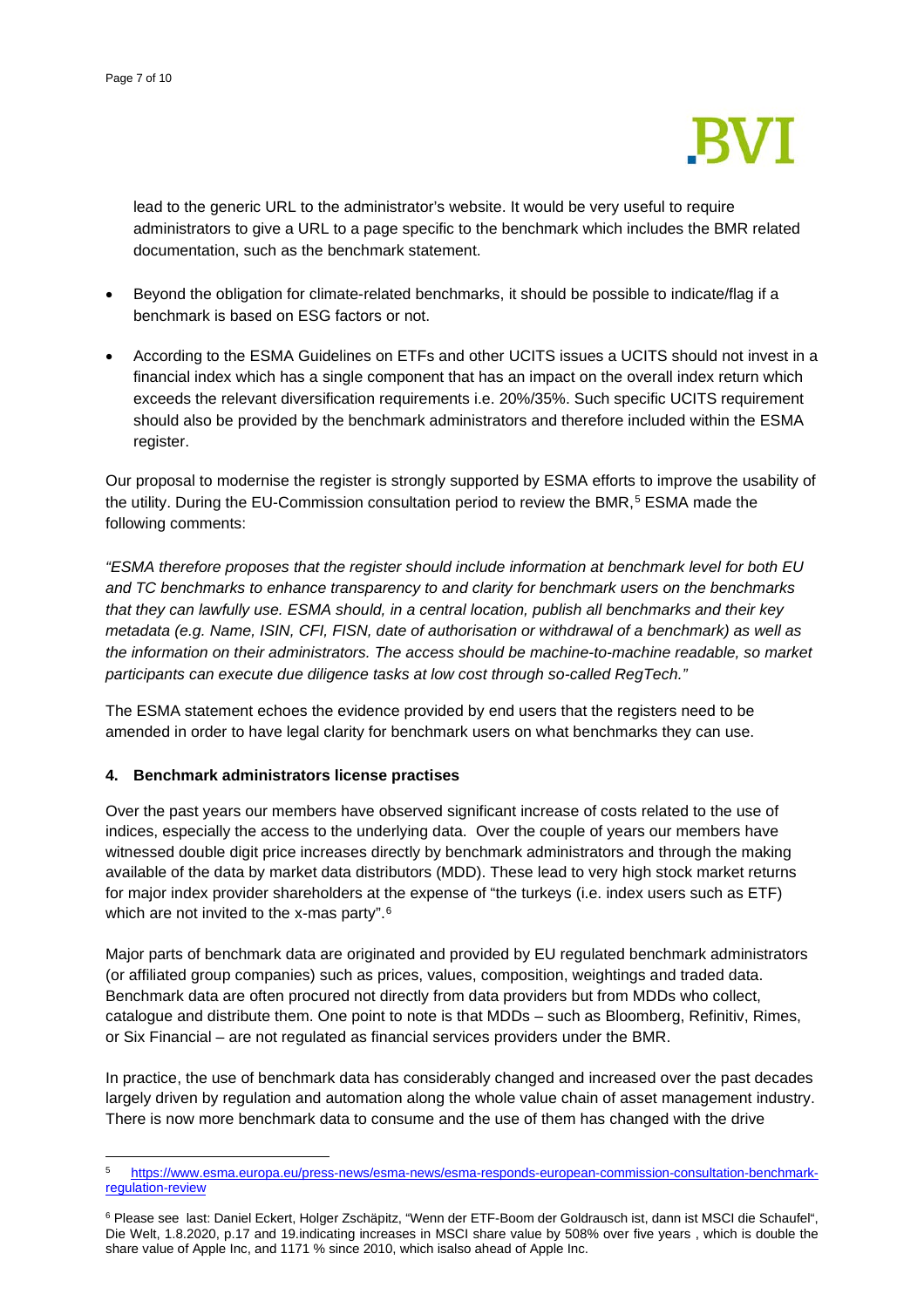

lead to the generic URL to the administrator's website. It would be very useful to require administrators to give a URL to a page specific to the benchmark which includes the BMR related documentation, such as the benchmark statement.

- Beyond the obligation for climate-related benchmarks, it should be possible to indicate/flag if a benchmark is based on ESG factors or not.
- According to the ESMA Guidelines on ETFs and other UCITS issues a UCITS should not invest in a financial index which has a single component that has an impact on the overall index return which exceeds the relevant diversification requirements i.e. 20%/35%. Such specific UCITS requirement should also be provided by the benchmark administrators and therefore included within the ESMA register.

Our proposal to modernise the register is strongly supported by ESMA efforts to improve the usability of the utility. During the EU-Commission consultation period to review the BMR,<sup>[5](#page-6-0)</sup> ESMA made the following comments:

*"ESMA therefore proposes that the register should include information at benchmark level for both EU and TC benchmarks to enhance transparency to and clarity for benchmark users on the benchmarks that they can lawfully use. ESMA should, in a central location, publish all benchmarks and their key metadata (e.g. Name, ISIN, CFI, FISN, date of authorisation or withdrawal of a benchmark) as well as the information on their administrators. The access should be machine-to-machine readable, so market participants can execute due diligence tasks at low cost through so-called RegTech."*

The ESMA statement echoes the evidence provided by end users that the registers need to be amended in order to have legal clarity for benchmark users on what benchmarks they can use.

### **4. Benchmark administrators license practises**

Over the past years our members have observed significant increase of costs related to the use of indices, especially the access to the underlying data. Over the couple of years our members have witnessed double digit price increases directly by benchmark administrators and through the making available of the data by market data distributors (MDD). These lead to very high stock market returns for major index provider shareholders at the expense of "the turkeys (i.e. index users such as ETF) which are not invited to the x-mas party".<sup>[6](#page-6-1)</sup>

Major parts of benchmark data are originated and provided by EU regulated benchmark administrators (or affiliated group companies) such as prices, values, composition, weightings and traded data. Benchmark data are often procured not directly from data providers but from MDDs who collect, catalogue and distribute them. One point to note is that MDDs – such as Bloomberg, Refinitiv, Rimes, or Six Financial – are not regulated as financial services providers under the BMR.

In practice, the use of benchmark data has considerably changed and increased over the past decades largely driven by regulation and automation along the whole value chain of asset management industry. There is now more benchmark data to consume and the use of them has changed with the drive

<span id="page-6-0"></span><sup>5</sup> [https://www.esma.europa.eu/press-news/esma-news/esma-responds-european-commission-consultation-benchmark](https://www.esma.europa.eu/press-news/esma-news/esma-responds-european-commission-consultation-benchmark-regulation-review)[regulation-review](https://www.esma.europa.eu/press-news/esma-news/esma-responds-european-commission-consultation-benchmark-regulation-review)

<span id="page-6-1"></span><sup>6</sup> Please see last: Daniel Eckert, Holger Zschäpitz, "Wenn der ETF-Boom der Goldrausch ist, dann ist MSCI die Schaufel", Die Welt, 1.8.2020, p.17 and 19.indicating increases in MSCI share value by 508% over five years , which is double the share value of Apple Inc, and 1171 % since 2010, which isalso ahead of Apple Inc.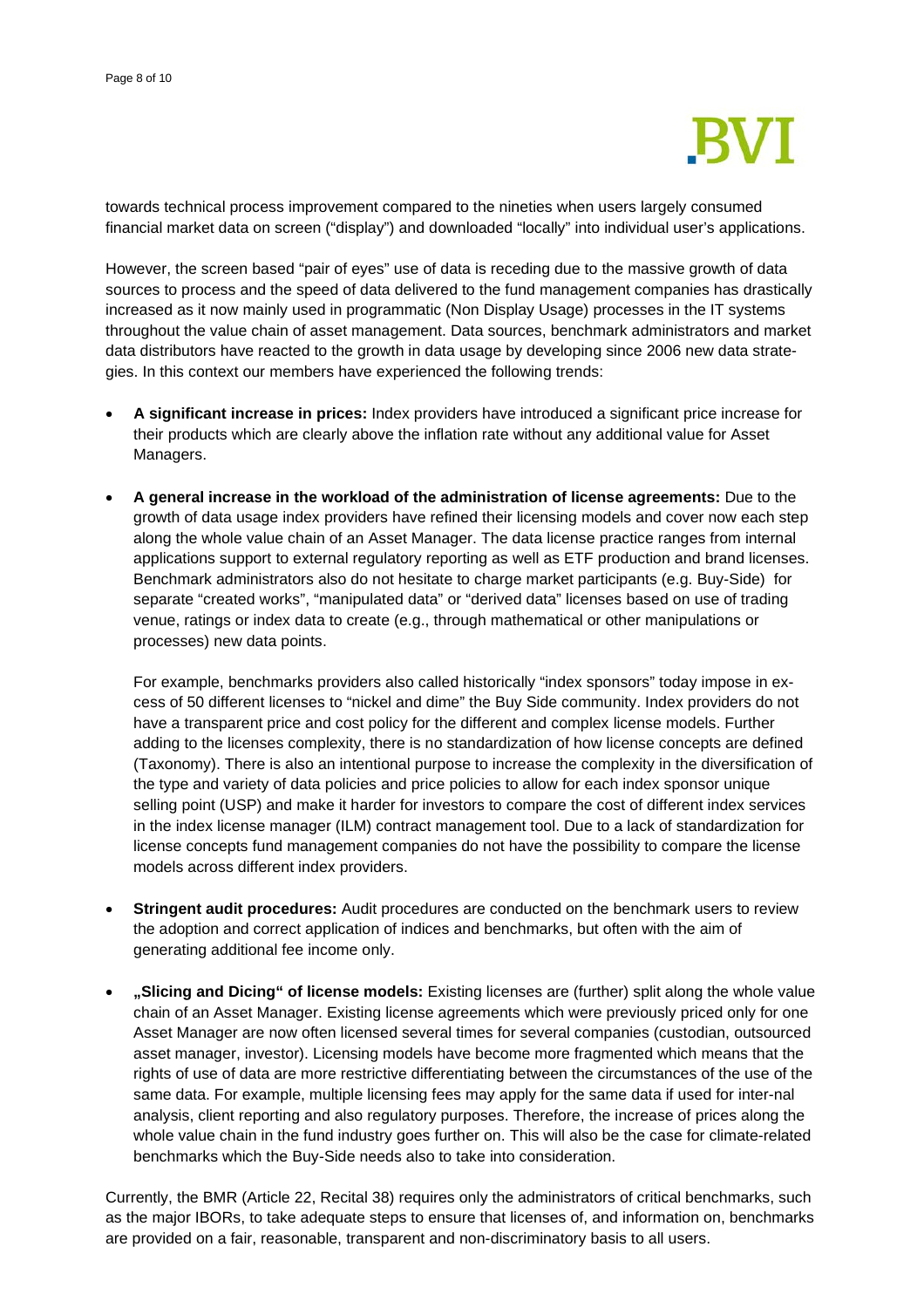

towards technical process improvement compared to the nineties when users largely consumed financial market data on screen ("display") and downloaded "locally" into individual user's applications.

However, the screen based "pair of eyes" use of data is receding due to the massive growth of data sources to process and the speed of data delivered to the fund management companies has drastically increased as it now mainly used in programmatic (Non Display Usage) processes in the IT systems throughout the value chain of asset management. Data sources, benchmark administrators and market data distributors have reacted to the growth in data usage by developing since 2006 new data strategies. In this context our members have experienced the following trends:

- **A significant increase in prices:** Index providers have introduced a significant price increase for their products which are clearly above the inflation rate without any additional value for Asset Managers.
- **A general increase in the workload of the administration of license agreements:** Due to the growth of data usage index providers have refined their licensing models and cover now each step along the whole value chain of an Asset Manager. The data license practice ranges from internal applications support to external regulatory reporting as well as ETF production and brand licenses. Benchmark administrators also do not hesitate to charge market participants (e.g. Buy-Side) for separate "created works", "manipulated data" or "derived data" licenses based on use of trading venue, ratings or index data to create (e.g., through mathematical or other manipulations or processes) new data points.

For example, benchmarks providers also called historically "index sponsors" today impose in excess of 50 different licenses to "nickel and dime" the Buy Side community. Index providers do not have a transparent price and cost policy for the different and complex license models. Further adding to the licenses complexity, there is no standardization of how license concepts are defined (Taxonomy). There is also an intentional purpose to increase the complexity in the diversification of the type and variety of data policies and price policies to allow for each index sponsor unique selling point (USP) and make it harder for investors to compare the cost of different index services in the index license manager (ILM) contract management tool. Due to a lack of standardization for license concepts fund management companies do not have the possibility to compare the license models across different index providers.

- **Stringent audit procedures:** Audit procedures are conducted on the benchmark users to review the adoption and correct application of indices and benchmarks, but often with the aim of generating additional fee income only.
- **"Slicing and Dicing" of license models:** Existing licenses are (further) split along the whole value chain of an Asset Manager. Existing license agreements which were previously priced only for one Asset Manager are now often licensed several times for several companies (custodian, outsourced asset manager, investor). Licensing models have become more fragmented which means that the rights of use of data are more restrictive differentiating between the circumstances of the use of the same data. For example, multiple licensing fees may apply for the same data if used for inter-nal analysis, client reporting and also regulatory purposes. Therefore, the increase of prices along the whole value chain in the fund industry goes further on. This will also be the case for climate-related benchmarks which the Buy-Side needs also to take into consideration.

Currently, the BMR (Article 22, Recital 38) requires only the administrators of critical benchmarks, such as the major IBORs, to take adequate steps to ensure that licenses of, and information on, benchmarks are provided on a fair, reasonable, transparent and non-discriminatory basis to all users.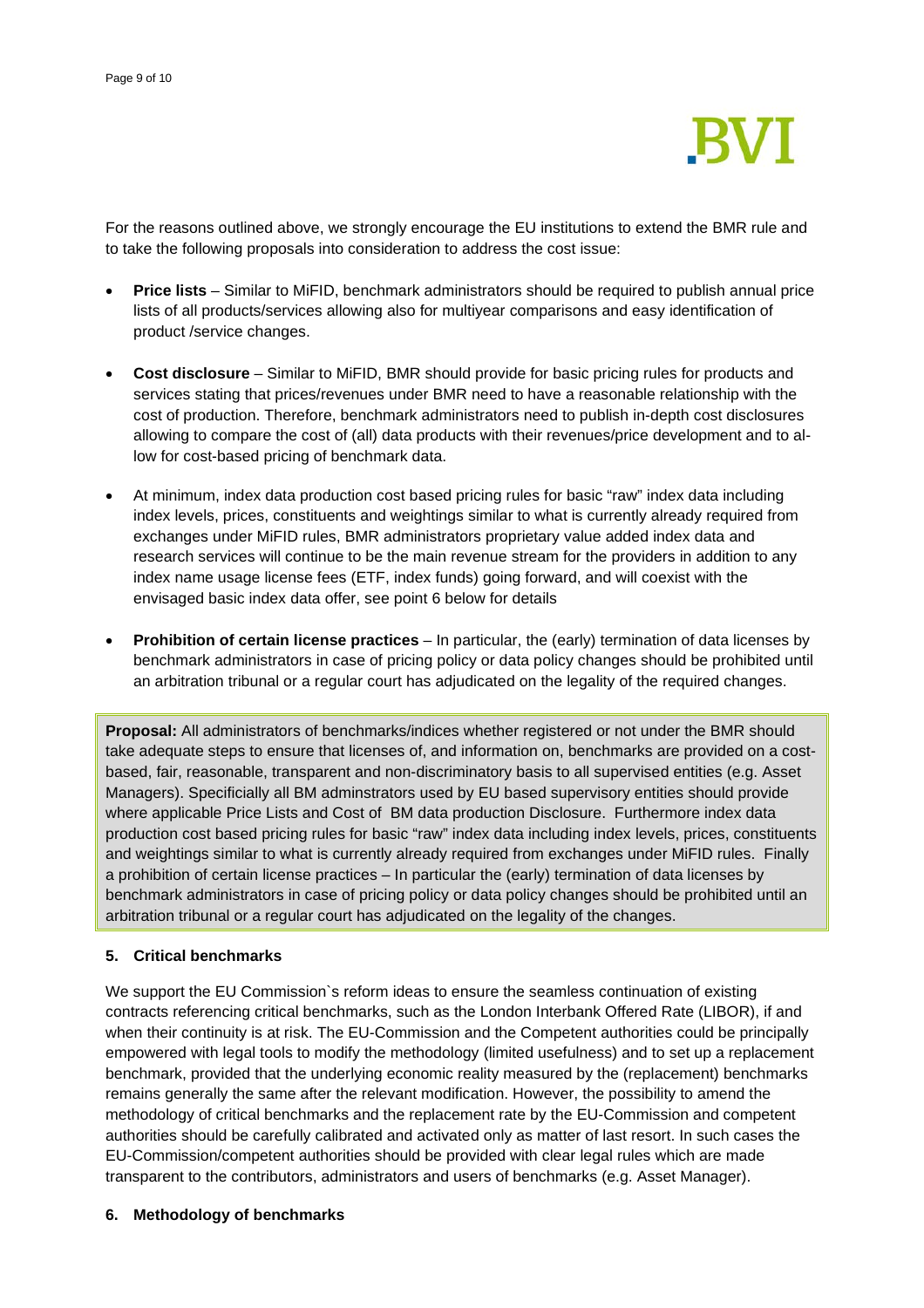

For the reasons outlined above, we strongly encourage the EU institutions to extend the BMR rule and to take the following proposals into consideration to address the cost issue:

- **Price lists** Similar to MiFID, benchmark administrators should be required to publish annual price lists of all products/services allowing also for multiyear comparisons and easy identification of product /service changes.
- **Cost disclosure** Similar to MiFID, BMR should provide for basic pricing rules for products and services stating that prices/revenues under BMR need to have a reasonable relationship with the cost of production. Therefore, benchmark administrators need to publish in-depth cost disclosures allowing to compare the cost of (all) data products with their revenues/price development and to allow for cost-based pricing of benchmark data.
- At minimum, index data production cost based pricing rules for basic "raw" index data including index levels, prices, constituents and weightings similar to what is currently already required from exchanges under MiFID rules, BMR administrators proprietary value added index data and research services will continue to be the main revenue stream for the providers in addition to any index name usage license fees (ETF, index funds) going forward, and will coexist with the envisaged basic index data offer, see point 6 below for details
- **Prohibition of certain license practices** In particular, the (early) termination of data licenses by benchmark administrators in case of pricing policy or data policy changes should be prohibited until an arbitration tribunal or a regular court has adjudicated on the legality of the required changes.

**Proposal:** All administrators of benchmarks/indices whether registered or not under the BMR should take adequate steps to ensure that licenses of, and information on, benchmarks are provided on a costbased, fair, reasonable, transparent and non-discriminatory basis to all supervised entities (e.g. Asset Managers). Specificially all BM adminstrators used by EU based supervisory entities should provide where applicable Price Lists and Cost of BM data production Disclosure. Furthermore index data production cost based pricing rules for basic "raw" index data including index levels, prices, constituents and weightings similar to what is currently already required from exchanges under MiFID rules. Finally a prohibition of certain license practices – In particular the (early) termination of data licenses by benchmark administrators in case of pricing policy or data policy changes should be prohibited until an arbitration tribunal or a regular court has adjudicated on the legality of the changes.

### **5. Critical benchmarks**

We support the EU Commission`s reform ideas to ensure the seamless continuation of existing contracts referencing critical benchmarks, such as the London Interbank Offered Rate (LIBOR), if and when their continuity is at risk. The EU-Commission and the Competent authorities could be principally empowered with legal tools to modify the methodology (limited usefulness) and to set up a replacement benchmark, provided that the underlying economic reality measured by the (replacement) benchmarks remains generally the same after the relevant modification. However, the possibility to amend the methodology of critical benchmarks and the replacement rate by the EU-Commission and competent authorities should be carefully calibrated and activated only as matter of last resort. In such cases the EU-Commission/competent authorities should be provided with clear legal rules which are made transparent to the contributors, administrators and users of benchmarks (e.g. Asset Manager).

### **6. Methodology of benchmarks**